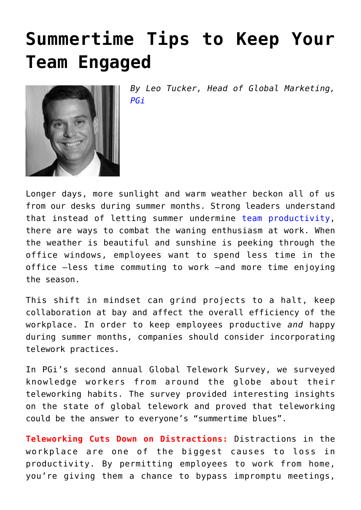## **[Summertime Tips to Keep Your](https://www.commpro.biz/summertime-tips-to-keep-your-team-engaged/) [Team Engaged](https://www.commpro.biz/summertime-tips-to-keep-your-team-engaged/)**



*By Leo Tucker, Head of Global Marketing, [PGi](https://www.pgi.com/)*

Longer days, more sunlight and warm weather beckon all of us from our desks during summer months. Strong leaders understand that instead of letting summer undermine [team productivity,](https://www.commpro.biz/?s=team+productivity) there are ways to combat the waning enthusiasm at work. When the weather is beautiful and sunshine is peeking through the office windows, employees want to spend less time in the office –less time commuting to work –and more time enjoying the season.

This shift in mindset can grind projects to a halt, keep collaboration at bay and affect the overall efficiency of the workplace. In order to keep employees productive *and* happy during summer months, companies should consider incorporating telework practices.

In PGi's second annual Global Telework Survey, we surveyed knowledge workers from around the globe about their teleworking habits. The survey provided interesting insights on the state of global telework and proved that teleworking could be the answer to everyone's "summertime blues".

**Teleworking Cuts Down on Distractions:** Distractions in the workplace are one of the biggest causes to loss in productivity. By permitting employees to work from home, you're giving them a chance to bypass impromptu meetings,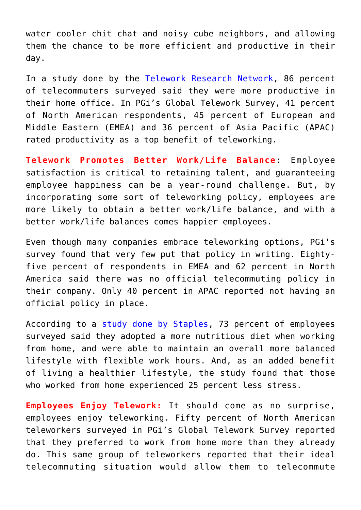water cooler chit chat and noisy cube neighbors, and allowing them the chance to be more efficient and productive in their day.

In a study done by the [Telework Research Network,](https://globalworkplaceanalytics.com/telecommuting-statistics) 86 percent of telecommuters surveyed said they were more productive in their home office. In PGi's Global Telework Survey, 41 percent of North American respondents, 45 percent of European and Middle Eastern (EMEA) and 36 percent of Asia Pacific (APAC) rated productivity as a top benefit of teleworking.

**Telework Promotes Better Work/Life Balance**: Employee satisfaction is critical to retaining talent, and guaranteeing employee happiness can be a year-round challenge. But, by incorporating some sort of teleworking policy, employees are more likely to obtain a better work/life balance, and with a better work/life balances comes happier employees.

Even though many companies embrace teleworking options, PGi's survey found that very few put that policy in writing. Eightyfive percent of respondents in EMEA and 62 percent in North America said there was no official telecommuting policy in their company. Only 40 percent in APAC reported not having an official policy in place.

According to a [study done by Staples,](https://investor.staples.com/phoenix.zhtml?c=96244&p=irol-newsArticle_print&ID=1586360&highlight) 73 percent of employees surveyed said they adopted a more nutritious diet when working from home, and were able to maintain an overall more balanced lifestyle with flexible work hours. And, as an added benefit of living a healthier lifestyle, the study found that those who worked from home experienced 25 percent less stress.

**Employees Enjoy Telework:** It should come as no surprise, employees enjoy teleworking. Fifty percent of North American teleworkers surveyed in PGi's Global Telework Survey reported that they preferred to work from home more than they already do. This same group of teleworkers reported that their ideal telecommuting situation would allow them to telecommute